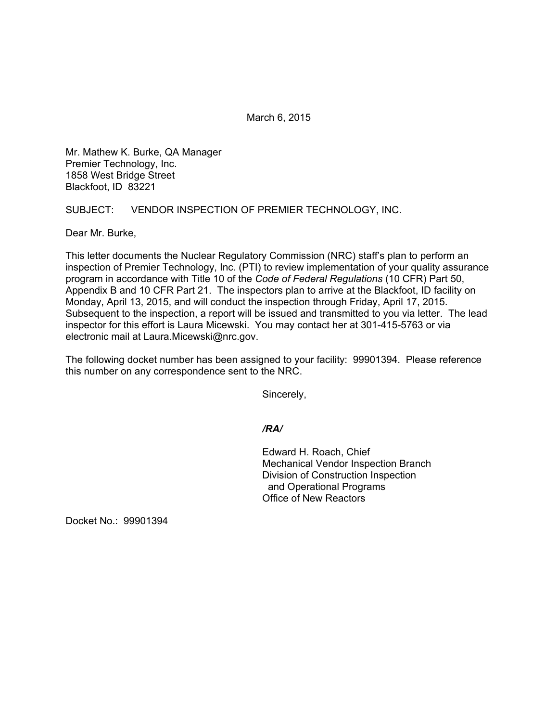March 6, 2015

Mr. Mathew K. Burke, QA Manager Premier Technology, Inc. 1858 West Bridge Street Blackfoot, ID 83221

SUBJECT: VENDOR INSPECTION OF PREMIER TECHNOLOGY, INC.

Dear Mr. Burke,

This letter documents the Nuclear Regulatory Commission (NRC) staff's plan to perform an inspection of Premier Technology, Inc. (PTI) to review implementation of your quality assurance program in accordance with Title 10 of the *Code of Federal Regulations* (10 CFR) Part 50, Appendix B and 10 CFR Part 21. The inspectors plan to arrive at the Blackfoot, ID facility on Monday, April 13, 2015, and will conduct the inspection through Friday, April 17, 2015. Subsequent to the inspection, a report will be issued and transmitted to you via letter. The lead inspector for this effort is Laura Micewski. You may contact her at 301-415-5763 or via electronic mail at Laura.Micewski@nrc.gov.

The following docket number has been assigned to your facility: 99901394. Please reference this number on any correspondence sent to the NRC.

Sincerely,

*/RA/* 

 Edward H. Roach, Chief Mechanical Vendor Inspection Branch Division of Construction Inspection and Operational Programs Office of New Reactors

Docket No.: 99901394